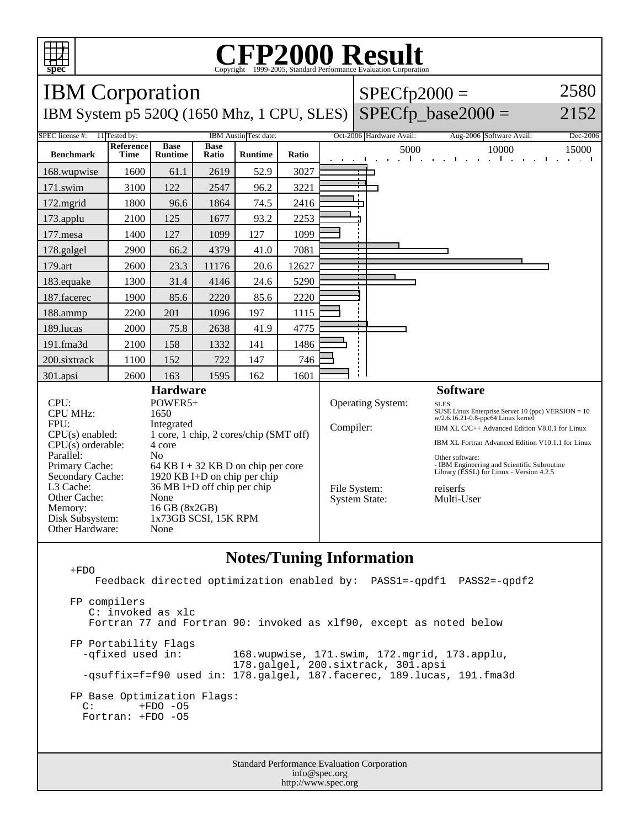

### **CFP2000 Result** Copyright ©1999-2005, Standard

IBM Corporation IBM System p5 520Q (1650 Mhz, 1 CPU, SLES)  $SPECfp2000 =$  $SPECfp\_base2000 =$ 2580 2152 SPEC license #: 11 Tested by: IBM Austin Test date: Oct-2006 Hardware Avail: Aug-2006 Software Avail: Dec-2006 **Benchmark Reference Time Base Runtime Base Ratio Runtime Ratio** 5000 10000 15000 168.wupwise 1600 61.1 2619 52.9 3027 171.swim | 3100 | 122 | 2547 | 96.2 | 3221 172.mgrid | 1800 | 96.6 | 1864 | 74.5 | 2416 173.applu | 2100 | 125 | 1677 | 93.2 | 2253 177.mesa | 1400 | 127 | 1099 | 127 | 1099 178.galgel | 2900 | 66.2 | 4379 | 41.0 | 7081 179.art 2600 23.3 11176 20.6 12627 183.equake 1300 31.4 4146 24.6 5290 187.facerec | 1900 | 85.6 | 2220 | 85.6 | 2220 188.ammp | 2200 | 201 | 1096 | 197 | 1115 189.lucas | 2000 | 75.8 | 2638 | 41.9 | 4775 191.fma3d | 2100 | 158 | 1332 | 141 | 1486 200.sixtrack 1100 152 722 147 746 301.apsi 2600 163 1595 162 1601 **Hardware** CPU: POWER5+<br>CPU MHz: 1650 CPU MHz: FPU: Integrated CPU(s) enabled: 1 core, 1 chip, 2 cores/chip (SMT off) CPU(s) orderable: 4 core Parallel: No<br>Primary Cache: 64 64 KB I + 32 KB D on chip per core Secondary Cache: 1920 KB I+D on chip per chip<br>L3 Cache: 36 MB I+D off chip per chip 36 MB I+D off chip per chip<br>None Other Cache: Memory: 16 GB (8x2GB) Disk Subsystem: 1x73GB SCSI, 15K RPM Other Hardware: None **Software** Operating System: SLES SUSE Linux Enterprise Server 10 (ppc) VERSION = 10 w/2.6.16.21-0.8-ppc64 Linux kernel Compiler: IBM XL C/C++ Advanced Edition V8.0.1 for Linux IBM XL Fortran Advanced Edition V10.1.1 for Linux Other software: - IBM Engineering and Scientific Subroutine Library (ESSL) for Linux - Version 4.2.5 File System: reiserfs<br>System State: Multi-User System State:

### **Notes/Tuning Information**

 +FDO Feedback directed optimization enabled by: PASS1=-qpdf1 PASS2=-qpdf2 FP compilers C: invoked as xlc Fortran 77 and Fortran 90: invoked as xlf90, except as noted below FP Portability Flags<br>-qfixed used in: 168.wupwise, 171.swim, 172.mgrid, 173.applu, 178.galgel, 200.sixtrack, 301.apsi -qsuffix=f=f90 used in: 178.galgel, 187.facerec, 189.lucas, 191.fma3d FP Base Optimization Flags:<br>C: +FDO -05  $+FDO$  -O5 Fortran: +FDO -O5

> Standard Performance Evaluation Corporation info@spec.org http://www.spec.org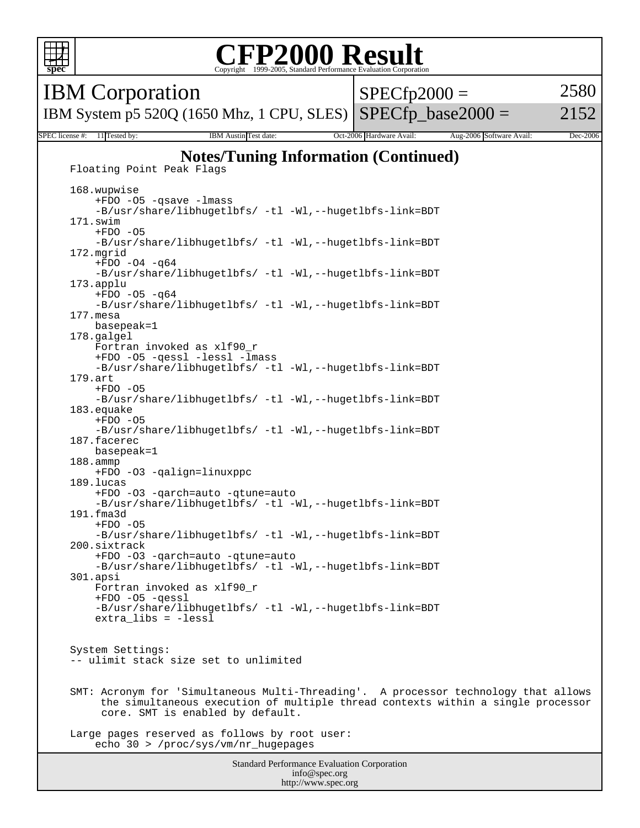

### **CFP2000 Result** Copyright ©1999-2005, Standard I

IBM Corporation

IBM System p5 520Q (1650 Mhz, 1 CPU, SLES) SPECfp\_base2000 =  $SPECfp2000 =$ 2580

2152

SPEC license #: 11 Tested by: IBM Austin Test date: Oct-2006 Hardware Avail: Aug-2006 Software Avail: Dec-2006 **Notes/Tuning Information (Continued)**

Standard Performance Evaluation Corporation info@spec.org http://www.spec.org Floating Point Peak Flags 168.wupwise +FDO -O5 -qsave -lmass -B/usr/share/libhugetlbfs/ -tl -Wl,--hugetlbfs-link=BDT 171.swim  $+FDO -O5$  -B/usr/share/libhugetlbfs/ -tl -Wl,--hugetlbfs-link=BDT 172.mgrid  $+FDO -O4 -q64$  -B/usr/share/libhugetlbfs/ -tl -Wl,--hugetlbfs-link=BDT 173.applu  $+FDO -O5 -q64$  -B/usr/share/libhugetlbfs/ -tl -Wl,--hugetlbfs-link=BDT 177.mesa basepeak=1 178.galgel Fortran invoked as xlf90\_r +FDO -O5 -qessl -lessl -lmass -B/usr/share/libhugetlbfs/ -tl -Wl,--hugetlbfs-link=BDT 179.art  $+FDO -O5$ -B/usr/share/libhugetlbfs/ -tl -Wl,--hugetlbfs-link=BDT 183.equake  $+FDO -O5$  -B/usr/share/libhugetlbfs/ -tl -Wl,--hugetlbfs-link=BDT 187.facerec basepeak=1 188.ammp +FDO -O3 -qalign=linuxppc 189.lucas +FDO -O3 -qarch=auto -qtune=auto -B/usr/share/libhugetlbfs/ -tl -Wl,--hugetlbfs-link=BDT 191.fma3d  $+FDO -O5$  -B/usr/share/libhugetlbfs/ -tl -Wl,--hugetlbfs-link=BDT 200.sixtrack +FDO -O3 -qarch=auto -qtune=auto -B/usr/share/libhugetlbfs/ -tl -Wl,--hugetlbfs-link=BDT 301.apsi Fortran invoked as xlf90\_r +FDO -O5 -qessl -B/usr/share/libhugetlbfs/ -tl -Wl,--hugetlbfs-link=BDT extra\_libs = -lessl System Settings: -- ulimit stack size set to unlimited SMT: Acronym for 'Simultaneous Multi-Threading'. A processor technology that allows the simultaneous execution of multiple thread contexts within a single processor core. SMT is enabled by default. Large pages reserved as follows by root user: echo 30 > /proc/sys/vm/nr\_hugepages